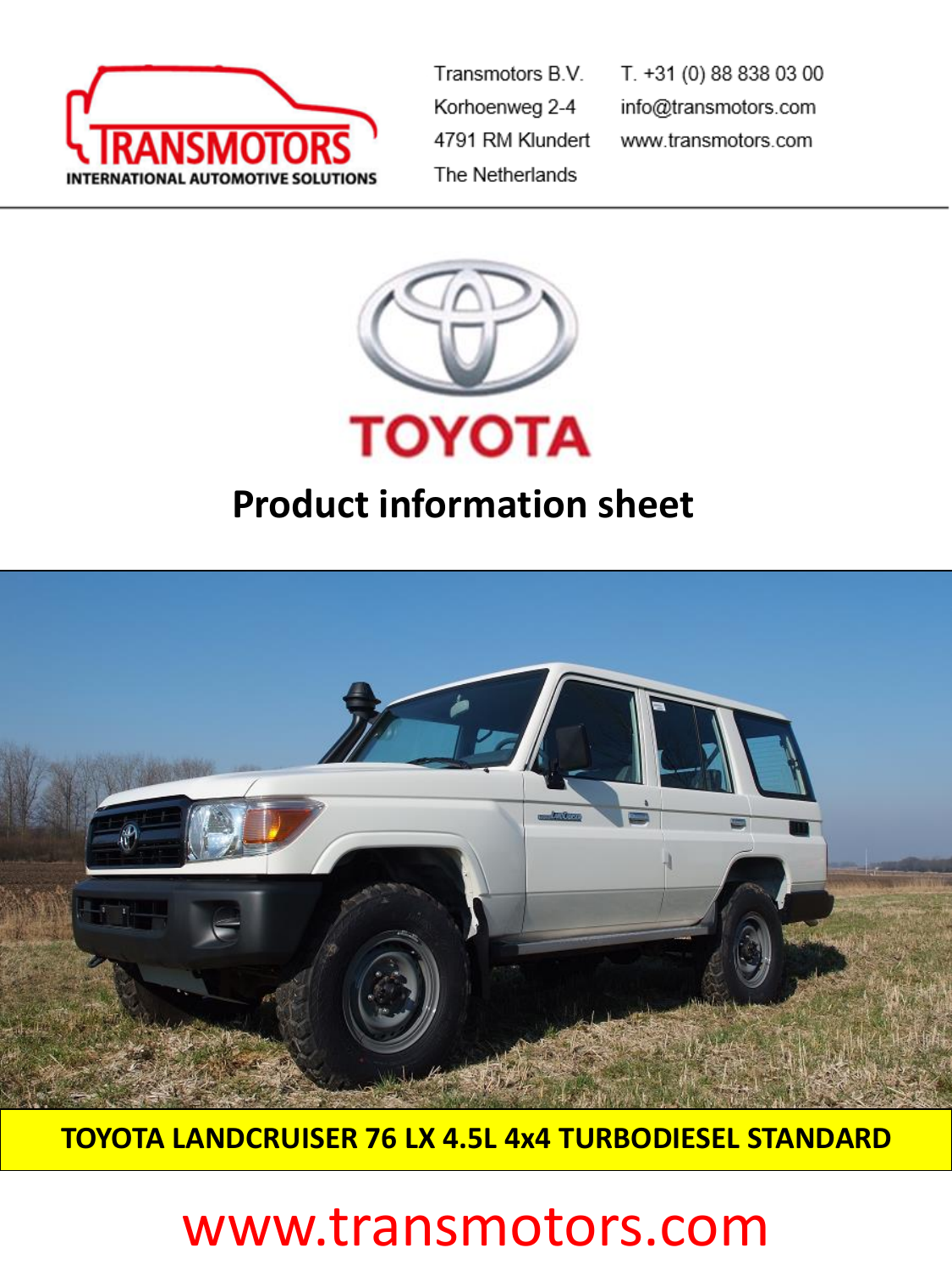

Transmotors B.V. Korhoenweg 2-4 4791 RM Klundert The Netherlands

T. +31 (0) 88 838 03 00 info@transmotors.com www.transmotors.com



## **Product information sheet**



**TOYOTA LANDCRUISER 76 LX 4.5L 4x4 TURBODIESEL STANDARD** 

# www.transmotors.com